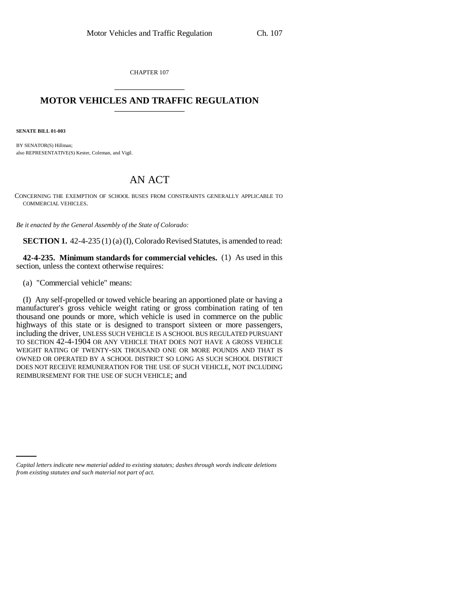CHAPTER 107 \_\_\_\_\_\_\_\_\_\_\_\_\_\_\_

## **MOTOR VEHICLES AND TRAFFIC REGULATION** \_\_\_\_\_\_\_\_\_\_\_\_\_\_\_

**SENATE BILL 01-003**

BY SENATOR(S) Hillman; also REPRESENTATIVE(S) Kester, Coleman, and Vigil.

## AN ACT

CONCERNING THE EXEMPTION OF SCHOOL BUSES FROM CONSTRAINTS GENERALLY APPLICABLE TO COMMERCIAL VEHICLES.

*Be it enacted by the General Assembly of the State of Colorado:*

**SECTION 1.** 42-4-235 (1) (a) (I), Colorado Revised Statutes, is amended to read:

**42-4-235. Minimum standards for commercial vehicles.** (1) As used in this section, unless the context otherwise requires:

(a) "Commercial vehicle" means:

(I) Any self-propelled or towed vehicle bearing an apportioned plate or having a manufacturer's gross vehicle weight rating or gross combination rating of ten thousand one pounds or more, which vehicle is used in commerce on the public highways of this state or is designed to transport sixteen or more passengers, including the driver, UNLESS SUCH VEHICLE IS A SCHOOL BUS REGULATED PURSUANT TO SECTION 42-4-1904 OR ANY VEHICLE THAT DOES NOT HAVE A GROSS VEHICLE WEIGHT RATING OF TWENTY-SIX THOUSAND ONE OR MORE POUNDS AND THAT IS OWNED OR OPERATED BY A SCHOOL DISTRICT SO LONG AS SUCH SCHOOL DISTRICT DOES NOT RECEIVE REMUNERATION FOR THE USE OF SUCH VEHICLE, NOT INCLUDING REIMBURSEMENT FOR THE USE OF SUCH VEHICLE; and

*Capital letters indicate new material added to existing statutes; dashes through words indicate deletions from existing statutes and such material not part of act.*